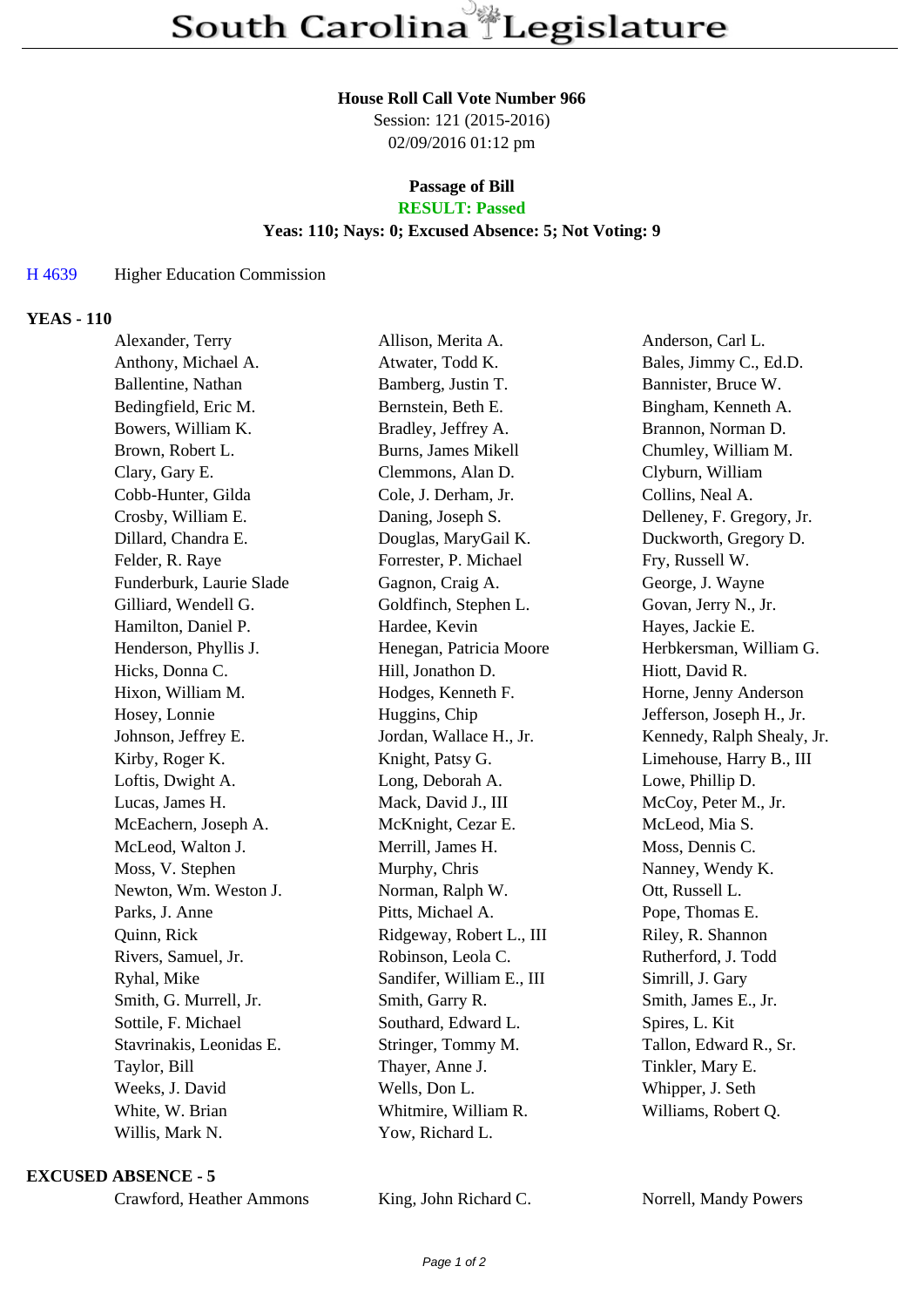### **House Roll Call Vote Number 966**

Session: 121 (2015-2016) 02/09/2016 01:12 pm

## **Passage of Bill RESULT: Passed**

### **Yeas: 110; Nays: 0; Excused Absence: 5; Not Voting: 9**

## H 4639 Higher Education Commission

## **YEAS - 110**

| Alexander, Terry         | Allison, Merita A.        | Anderson, Carl L.          |
|--------------------------|---------------------------|----------------------------|
| Anthony, Michael A.      | Atwater, Todd K.          | Bales, Jimmy C., Ed.D.     |
| Ballentine, Nathan       | Bamberg, Justin T.        | Bannister, Bruce W.        |
| Bedingfield, Eric M.     | Bernstein, Beth E.        | Bingham, Kenneth A.        |
| Bowers, William K.       | Bradley, Jeffrey A.       | Brannon, Norman D.         |
| Brown, Robert L.         | Burns, James Mikell       | Chumley, William M.        |
| Clary, Gary E.           | Clemmons, Alan D.         | Clyburn, William           |
| Cobb-Hunter, Gilda       | Cole, J. Derham, Jr.      | Collins, Neal A.           |
| Crosby, William E.       | Daning, Joseph S.         | Delleney, F. Gregory, Jr.  |
| Dillard, Chandra E.      | Douglas, MaryGail K.      | Duckworth, Gregory D.      |
| Felder, R. Raye          | Forrester, P. Michael     | Fry, Russell W.            |
| Funderburk, Laurie Slade | Gagnon, Craig A.          | George, J. Wayne           |
| Gilliard, Wendell G.     | Goldfinch, Stephen L.     | Govan, Jerry N., Jr.       |
| Hamilton, Daniel P.      | Hardee, Kevin             | Hayes, Jackie E.           |
| Henderson, Phyllis J.    | Henegan, Patricia Moore   | Herbkersman, William G.    |
| Hicks, Donna C.          | Hill, Jonathon D.         | Hiott, David R.            |
| Hixon, William M.        | Hodges, Kenneth F.        | Horne, Jenny Anderson      |
| Hosey, Lonnie            | Huggins, Chip             | Jefferson, Joseph H., Jr.  |
| Johnson, Jeffrey E.      | Jordan, Wallace H., Jr.   | Kennedy, Ralph Shealy, Jr. |
| Kirby, Roger K.          | Knight, Patsy G.          | Limehouse, Harry B., III   |
| Loftis, Dwight A.        | Long, Deborah A.          | Lowe, Phillip D.           |
| Lucas, James H.          | Mack, David J., III       | McCoy, Peter M., Jr.       |
| McEachern, Joseph A.     | McKnight, Cezar E.        | McLeod, Mia S.             |
| McLeod, Walton J.        | Merrill, James H.         | Moss, Dennis C.            |
| Moss, V. Stephen         | Murphy, Chris             | Nanney, Wendy K.           |
| Newton, Wm. Weston J.    | Norman, Ralph W.          | Ott, Russell L.            |
| Parks, J. Anne           | Pitts, Michael A.         | Pope, Thomas E.            |
| Quinn, Rick              | Ridgeway, Robert L., III  | Riley, R. Shannon          |
| Rivers, Samuel, Jr.      | Robinson, Leola C.        | Rutherford, J. Todd        |
| Ryhal, Mike              | Sandifer, William E., III | Simrill, J. Gary           |
| Smith, G. Murrell, Jr.   | Smith, Garry R.           | Smith, James E., Jr.       |
| Sottile, F. Michael      | Southard, Edward L.       | Spires, L. Kit             |
| Stavrinakis, Leonidas E. | Stringer, Tommy M.        | Tallon, Edward R., Sr.     |
| Taylor, Bill             | Thayer, Anne J.           | Tinkler, Mary E.           |
| Weeks, J. David          | Wells, Don L.             | Whipper, J. Seth           |
| White, W. Brian          | Whitmire, William R.      | Williams, Robert Q.        |
| Willis, Mark N.          | Yow, Richard L.           |                            |
|                          |                           |                            |

#### **EXCUSED ABSENCE - 5**

| Crawford, Heather Ammons |  |  |
|--------------------------|--|--|
|--------------------------|--|--|

King, John Richard C. Norrell, Mandy Powers